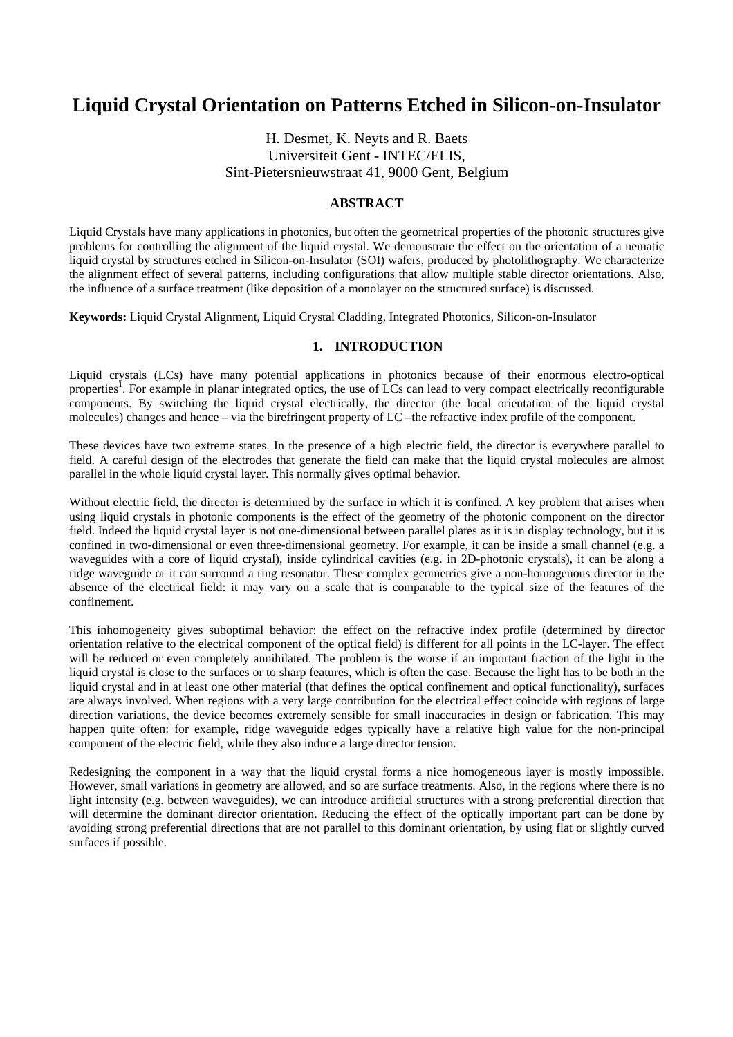# **Liquid Crystal Orientation on Patterns Etched in Silicon-on-Insulator**

# H. Desmet, K. Neyts and R. Baets Universiteit Gent - INTEC/ELIS, Sint-Pietersnieuwstraat 41, 9000 Gent, Belgium

#### **ABSTRACT**

Liquid Crystals have many applications in photonics, but often the geometrical properties of the photonic structures give problems for controlling the alignment of the liquid crystal. We demonstrate the effect on the orientation of a nematic liquid crystal by structures etched in Silicon-on-Insulator (SOI) wafers, produced by photolithography. We characterize the alignment effect of several patterns, including configurations that allow multiple stable director orientations. Also, the influence of a surface treatment (like deposition of a monolayer on the structured surface) is discussed.

**Keywords:** Liquid Crystal Alignment, Liquid Crystal Cladding, Integrated Photonics, Silicon-on-Insulator

## **1. INTRODUCTION**

Liquid crystals (LCs) have many potential applications in photonics because of their enormous electro-optical properties<sup>1</sup>[.](#page-7-0) For example in planar integrated optics, the use of LCs can lead to very compact electrically reconfigurable components. By switching the liquid crystal electrically, the director (the local orientation of the liquid crystal molecules) changes and hence – via the birefringent property of LC –the refractive index profile of the component.

These devices have two extreme states. In the presence of a high electric field, the director is everywhere parallel to field. A careful design of the electrodes that generate the field can make that the liquid crystal molecules are almost parallel in the whole liquid crystal layer. This normally gives optimal behavior.

Without electric field, the director is determined by the surface in which it is confined. A key problem that arises when using liquid crystals in photonic components is the effect of the geometry of the photonic component on the director field. Indeed the liquid crystal layer is not one-dimensional between parallel plates as it is in display technology, but it is confined in two-dimensional or even three-dimensional geometry. For example, it can be inside a small channel (e.g. a waveguides with a core of liquid crystal), inside cylindrical cavities (e.g. in 2D-photonic crystals), it can be along a ridge waveguide or it can surround a ring resonator. These complex geometries give a non-homogenous director in the absence of the electrical field: it may vary on a scale that is comparable to the typical size of the features of the confinement.

This inhomogeneity gives suboptimal behavior: the effect on the refractive index profile (determined by director orientation relative to the electrical component of the optical field) is different for all points in the LC-layer. The effect will be reduced or even completely annihilated. The problem is the worse if an important fraction of the light in the liquid crystal is close to the surfaces or to sharp features, which is often the case. Because the light has to be both in the liquid crystal and in at least one other material (that defines the optical confinement and optical functionality), surfaces are always involved. When regions with a very large contribution for the electrical effect coincide with regions of large direction variations, the device becomes extremely sensible for small inaccuracies in design or fabrication. This may happen quite often: for example, ridge waveguide edges typically have a relative high value for the non-principal component of the electric field, while they also induce a large director tension.

Redesigning the component in a way that the liquid crystal forms a nice homogeneous layer is mostly impossible. However, small variations in geometry are allowed, and so are surface treatments. Also, in the regions where there is no light intensity (e.g. between waveguides), we can introduce artificial structures with a strong preferential direction that will determine the dominant director orientation. Reducing the effect of the optically important part can be done by avoiding strong preferential directions that are not parallel to this dominant orientation, by using flat or slightly curved surfaces if possible.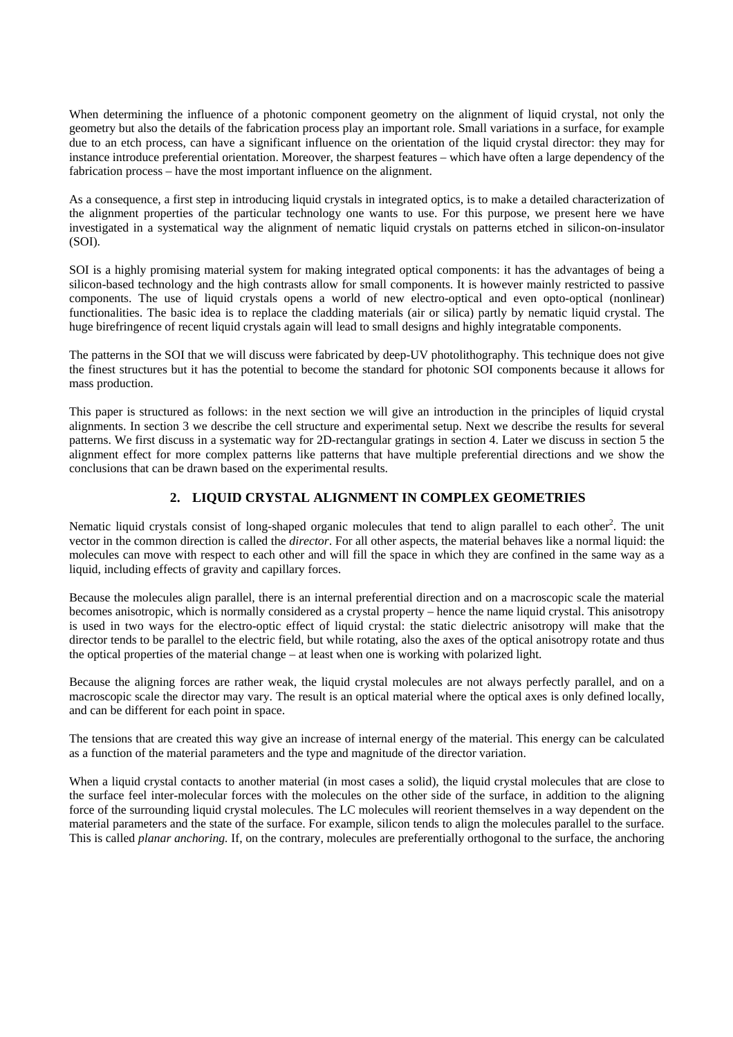When determining the influence of a photonic component geometry on the alignment of liquid crystal, not only the geometry but also the details of the fabrication process play an important role. Small variations in a surface, for example due to an etch process, can have a significant influence on the orientation of the liquid crystal director: they may for instance introduce preferential orientation. Moreover, the sharpest features – which have often a large dependency of the fabrication process – have the most important influence on the alignment.

As a consequence, a first step in introducing liquid crystals in integrated optics, is to make a detailed characterization of the alignment properties of the particular technology one wants to use. For this purpose, we present here we have investigated in a systematical way the alignment of nematic liquid crystals on patterns etched in silicon-on-insulator (SOI).

SOI is a highly promising material system for making integrated optical components: it has the advantages of being a silicon-based technology and the high contrasts allow for small components. It is however mainly restricted to passive components. The use of liquid crystals opens a world of new electro-optical and even opto-optical (nonlinear) functionalities. The basic idea is to replace the cladding materials (air or silica) partly by nematic liquid crystal. The huge birefringence of recent liquid crystals again will lead to small designs and highly integratable components.

The patterns in the SOI that we will discuss were fabricated by deep-UV photolithography. This technique does not give the finest structures but it has the potential to become the standard for photonic SOI components because it allows for mass production.

This paper is structured as follows: in the next section we will give an introduction in the principles of liquid crystal alignments. In section 3 we describe the cell structure and experimental setup. Next we describe the results for several patterns. We first discuss in a systematic way for 2D-rectangular gratings in section 4. Later we discuss in section 5 the alignment effect for more complex patterns like patterns that have multiple preferential directions and we show the conclusions that can be drawn based on the experimental results.

# **2. LIQUID CRYSTAL ALIGNMENT IN COMPLEX GEOMETRIES**

Nematic liquid crystals consist of long-shaped organic molecules that tend to align parallel to each other<sup>2</sup>[.](#page-7-1) The unit vector in the common direction is called the *director*. For all other aspects, the material behaves like a normal liquid: the molecules can move with respect to each other and will fill the space in which they are confined in the same way as a liquid, including effects of gravity and capillary forces.

Because the molecules align parallel, there is an internal preferential direction and on a macroscopic scale the material becomes anisotropic, which is normally considered as a crystal property – hence the name liquid crystal. This anisotropy is used in two ways for the electro-optic effect of liquid crystal: the static dielectric anisotropy will make that the director tends to be parallel to the electric field, but while rotating, also the axes of the optical anisotropy rotate and thus the optical properties of the material change – at least when one is working with polarized light.

Because the aligning forces are rather weak, the liquid crystal molecules are not always perfectly parallel, and on a macroscopic scale the director may vary. The result is an optical material where the optical axes is only defined locally, and can be different for each point in space.

The tensions that are created this way give an increase of internal energy of the material. This energy can be calculated as a function of the material parameters and the type and magnitude of the director variation.

When a liquid crystal contacts to another material (in most cases a solid), the liquid crystal molecules that are close to the surface feel inter-molecular forces with the molecules on the other side of the surface, in addition to the aligning force of the surrounding liquid crystal molecules. The LC molecules will reorient themselves in a way dependent on the material parameters and the state of the surface. For example, silicon tends to align the molecules parallel to the surface. This is called *planar anchoring.* If, on the contrary, molecules are preferentially orthogonal to the surface, the anchoring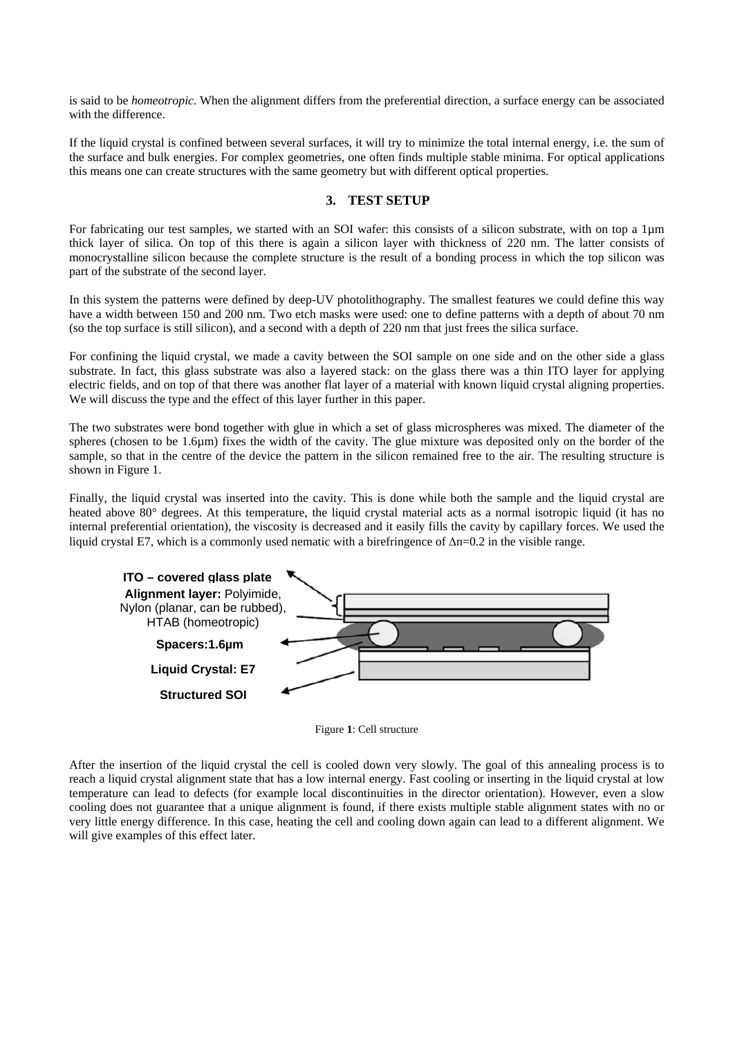is said to be *homeotropic*. When the alignment differs from the preferential direction, a surface energy can be associated with the difference.

If the liquid crystal is confined between several surfaces, it will try to minimize the total internal energy, i.e. the sum of the surface and bulk energies. For complex geometries, one often finds multiple stable minima. For optical applications this means one can create structures with the same geometry but with different optical properties.

#### **3. TEST SETUP**

For fabricating our test samples, we started with an SOI wafer: this consists of a silicon substrate, with on top a 1µm thick layer of silica. On top of this there is again a silicon layer with thickness of 220 nm. The latter consists of monocrystalline silicon because the complete structure is the result of a bonding process in which the top silicon was part of the substrate of the second layer.

In this system the patterns were defined by deep-UV photolithography. The smallest features we could define this way have a width between 150 and 200 nm. Two etch masks were used: one to define patterns with a depth of about 70 nm (so the top surface is still silicon), and a second with a depth of 220 nm that just frees the silica surface.

For confining the liquid crystal, we made a cavity between the SOI sample on one side and on the other side a glass substrate. In fact, this glass substrate was also a layered stack: on the glass there was a thin ITO layer for applying electric fields, and on top of that there was another flat layer of a material with known liquid crystal aligning properties. We will discuss the type and the effect of this layer further in this paper.

The two substrates were bond together with glue in which a set of glass microspheres was mixed. The diameter of the spheres (chosen to be 1.6µm) fixes the width of the cavity. The glue mixture was deposited only on the border of the sample, so that in the centre of the device the pattern in the silicon remained free to the air. The resulting structure is shown in [Figure 1.](#page-2-0)

Finally, the liquid crystal was inserted into the cavity. This is done while both the sample and the liquid crystal are heated above 80° degrees. At this temperature, the liquid crystal material acts as a normal isotropic liquid (it has no internal preferential orientation), the viscosity is decreased and it easily fills the cavity by capillary forces. We used the liquid crystal E7, which is a commonly used nematic with a birefringence of ∆n=0.2 in the visible range.



<span id="page-2-0"></span>Figure **1**: Cell structure

After the insertion of the liquid crystal the cell is cooled down very slowly. The goal of this annealing process is to reach a liquid crystal alignment state that has a low internal energy. Fast cooling or inserting in the liquid crystal at low temperature can lead to defects (for example local discontinuities in the director orientation). However, even a slow cooling does not guarantee that a unique alignment is found, if there exists multiple stable alignment states with no or very little energy difference. In this case, heating the cell and cooling down again can lead to a different alignment. We will give examples of this effect later.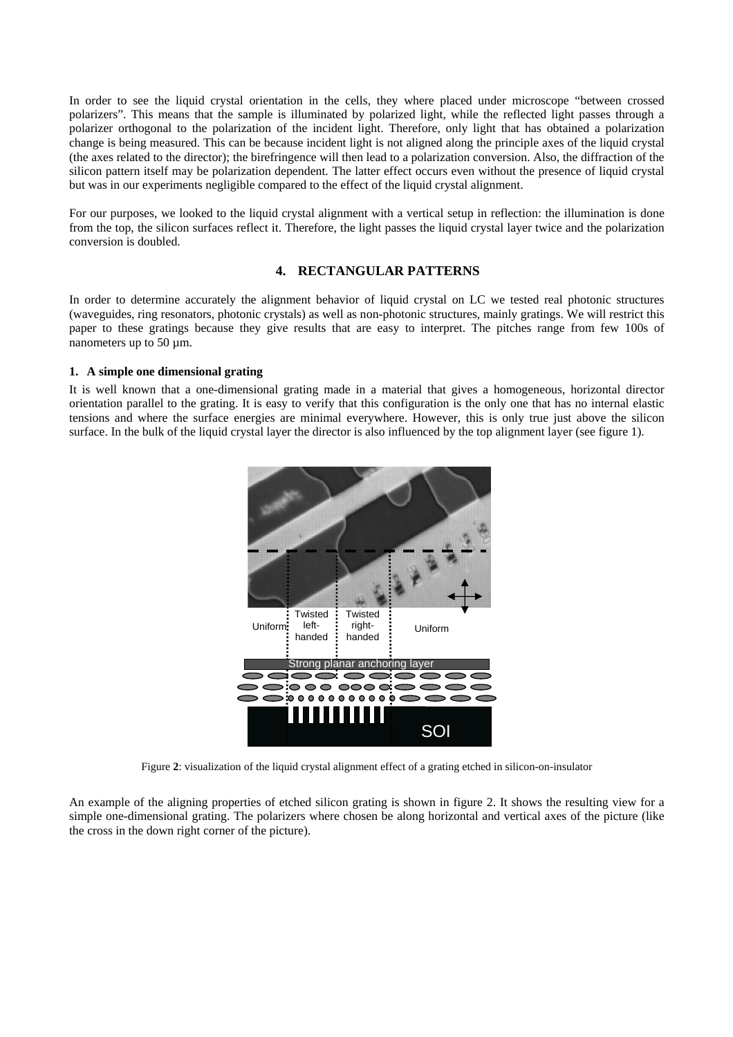In order to see the liquid crystal orientation in the cells, they where placed under microscope "between crossed polarizers". This means that the sample is illuminated by polarized light, while the reflected light passes through a polarizer orthogonal to the polarization of the incident light. Therefore, only light that has obtained a polarization change is being measured. This can be because incident light is not aligned along the principle axes of the liquid crystal (the axes related to the director); the birefringence will then lead to a polarization conversion. Also, the diffraction of the silicon pattern itself may be polarization dependent. The latter effect occurs even without the presence of liquid crystal but was in our experiments negligible compared to the effect of the liquid crystal alignment.

For our purposes, we looked to the liquid crystal alignment with a vertical setup in reflection: the illumination is done from the top, the silicon surfaces reflect it. Therefore, the light passes the liquid crystal layer twice and the polarization conversion is doubled.

#### **4. RECTANGULAR PATTERNS**

In order to determine accurately the alignment behavior of liquid crystal on LC we tested real photonic structures (waveguides, ring resonators, photonic crystals) as well as non-photonic structures, mainly gratings. We will restrict this paper to these gratings because they give results that are easy to interpret. The pitches range from few 100s of nanometers up to 50  $\mu$ m.

#### **1. A simple one dimensional grating**

It is well known that a one-dimensional grating made in a material that gives a homogeneous, horizontal director orientation parallel to the grating. It is easy to verify that this configuration is the only one that has no internal elastic tensions and where the surface energies are minimal everywhere. However, this is only true just above the silicon surface. In the bulk of the liquid crystal layer the director is also influenced by the top alignment layer (see figure 1).



Figure **2**: visualization of the liquid crystal alignment effect of a grating etched in silicon-on-insulator

An example of the aligning properties of etched silicon grating is shown in figure 2. It shows the resulting view for a simple one-dimensional grating. The polarizers where chosen be along horizontal and vertical axes of the picture (like the cross in the down right corner of the picture).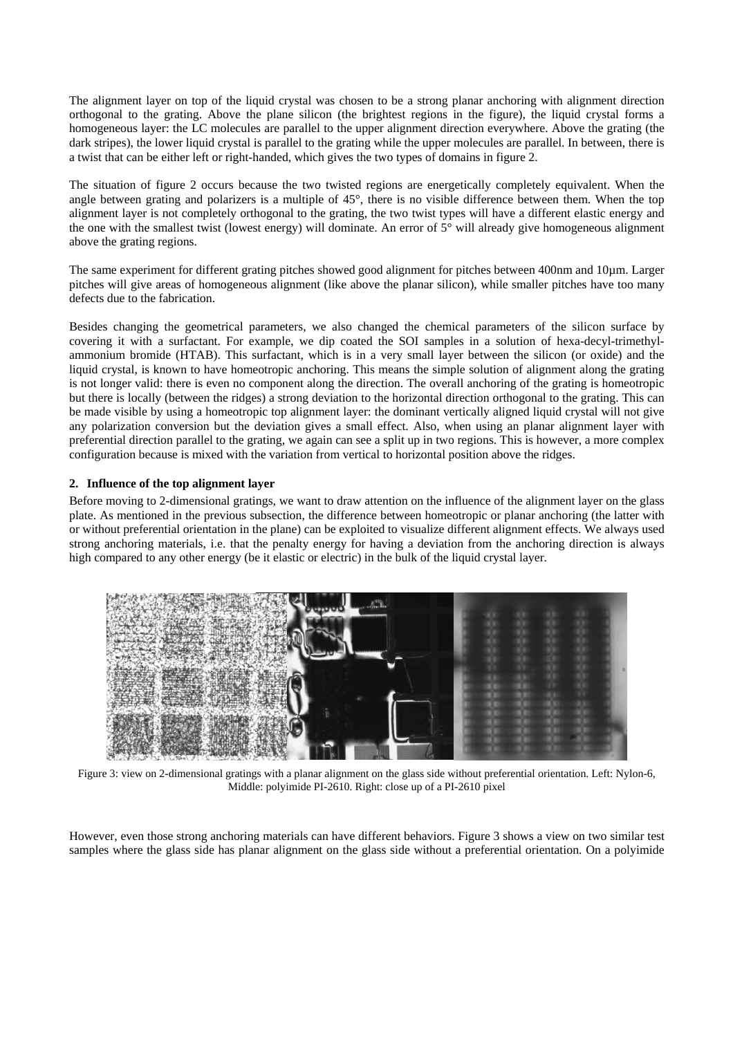The alignment layer on top of the liquid crystal was chosen to be a strong planar anchoring with alignment direction orthogonal to the grating. Above the plane silicon (the brightest regions in the figure), the liquid crystal forms a homogeneous layer: the LC molecules are parallel to the upper alignment direction everywhere. Above the grating (the dark stripes), the lower liquid crystal is parallel to the grating while the upper molecules are parallel. In between, there is a twist that can be either left or right-handed, which gives the two types of domains in figure 2.

The situation of figure 2 occurs because the two twisted regions are energetically completely equivalent. When the angle between grating and polarizers is a multiple of 45°, there is no visible difference between them. When the top alignment layer is not completely orthogonal to the grating, the two twist types will have a different elastic energy and the one with the smallest twist (lowest energy) will dominate. An error of 5° will already give homogeneous alignment above the grating regions.

The same experiment for different grating pitches showed good alignment for pitches between 400nm and 10µm. Larger pitches will give areas of homogeneous alignment (like above the planar silicon), while smaller pitches have too many defects due to the fabrication.

Besides changing the geometrical parameters, we also changed the chemical parameters of the silicon surface by covering it with a surfactant. For example, we dip coated the SOI samples in a solution of hexa-decyl-trimethylammonium bromide (HTAB). This surfactant, which is in a very small layer between the silicon (or oxide) and the liquid crystal, is known to have homeotropic anchoring. This means the simple solution of alignment along the grating is not longer valid: there is even no component along the direction. The overall anchoring of the grating is homeotropic but there is locally (between the ridges) a strong deviation to the horizontal direction orthogonal to the grating. This can be made visible by using a homeotropic top alignment layer: the dominant vertically aligned liquid crystal will not give any polarization conversion but the deviation gives a small effect. Also, when using an planar alignment layer with preferential direction parallel to the grating, we again can see a split up in two regions. This is however, a more complex configuration because is mixed with the variation from vertical to horizontal position above the ridges.

#### **2. Influence of the top alignment layer**

Before moving to 2-dimensional gratings, we want to draw attention on the influence of the alignment layer on the glass plate. As mentioned in the previous subsection, the difference between homeotropic or planar anchoring (the latter with or without preferential orientation in the plane) can be exploited to visualize different alignment effects. We always used strong anchoring materials, i.e. that the penalty energy for having a deviation from the anchoring direction is always high compared to any other energy (be it elastic or electric) in the bulk of the liquid crystal layer.



<span id="page-4-0"></span>Figure 3: view on 2-dimensional gratings with a planar alignment on the glass side without preferential orientation. Left: Nylon-6, Middle: polyimide PI-2610. Right: close up of a PI-2610 pixel

However, even those strong anchoring materials can have different behaviors. Figure 3 shows a view on two similar test samples where the glass side has planar alignment on the glass side without a preferential orientation. On a polyimide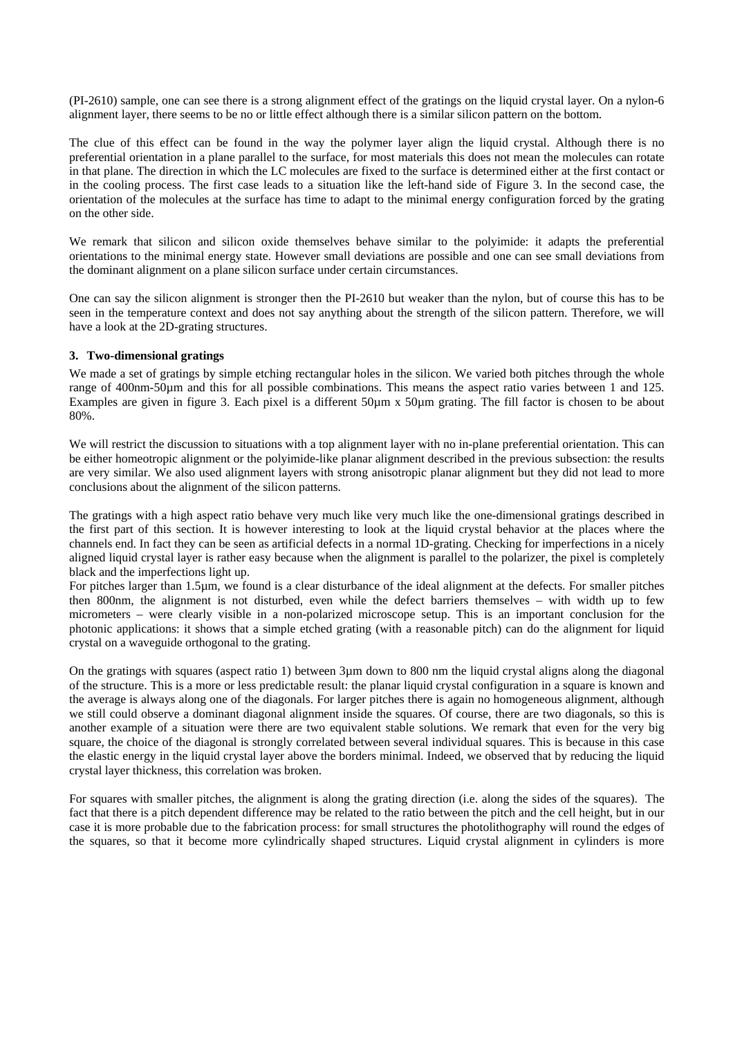(PI-2610) sample, one can see there is a strong alignment effect of the gratings on the liquid crystal layer. On a nylon-6 alignment layer, there seems to be no or little effect although there is a similar silicon pattern on the bottom.

The clue of this effect can be found in the way the polymer layer align the liquid crystal. Although there is no preferential orientation in a plane parallel to the surface, for most materials this does not mean the molecules can rotate in that plane. The direction in which the LC molecules are fixed to the surface is determined either at the first contact or in the cooling process. The first case leads to a situation like the left-hand side of [Figure 3.](#page-4-0) In the second case, the orientation of the molecules at the surface has time to adapt to the minimal energy configuration forced by the grating on the other side.

We remark that silicon and silicon oxide themselves behave similar to the polyimide: it adapts the preferential orientations to the minimal energy state. However small deviations are possible and one can see small deviations from the dominant alignment on a plane silicon surface under certain circumstances.

One can say the silicon alignment is stronger then the PI-2610 but weaker than the nylon, but of course this has to be seen in the temperature context and does not say anything about the strength of the silicon pattern. Therefore, we will have a look at the 2D-grating structures.

#### **3. Two-dimensional gratings**

We made a set of gratings by simple etching rectangular holes in the silicon. We varied both pitches through the whole range of 400nm-50µm and this for all possible combinations. This means the aspect ratio varies between 1 and 125. Examples are given in figure 3. Each pixel is a different 50um x 50um grating. The fill factor is chosen to be about 80%.

We will restrict the discussion to situations with a top alignment layer with no in-plane preferential orientation. This can be either homeotropic alignment or the polyimide-like planar alignment described in the previous subsection: the results are very similar. We also used alignment layers with strong anisotropic planar alignment but they did not lead to more conclusions about the alignment of the silicon patterns.

The gratings with a high aspect ratio behave very much like very much like the one-dimensional gratings described in the first part of this section. It is however interesting to look at the liquid crystal behavior at the places where the channels end. In fact they can be seen as artificial defects in a normal 1D-grating. Checking for imperfections in a nicely aligned liquid crystal layer is rather easy because when the alignment is parallel to the polarizer, the pixel is completely black and the imperfections light up.

For pitches larger than 1.5µm, we found is a clear disturbance of the ideal alignment at the defects. For smaller pitches then 800nm, the alignment is not disturbed, even while the defect barriers themselves – with width up to few micrometers – were clearly visible in a non-polarized microscope setup. This is an important conclusion for the photonic applications: it shows that a simple etched grating (with a reasonable pitch) can do the alignment for liquid crystal on a waveguide orthogonal to the grating.

On the gratings with squares (aspect ratio 1) between 3µm down to 800 nm the liquid crystal aligns along the diagonal of the structure. This is a more or less predictable result: the planar liquid crystal configuration in a square is known and the average is always along one of the diagonals. For larger pitches there is again no homogeneous alignment, although we still could observe a dominant diagonal alignment inside the squares. Of course, there are two diagonals, so this is another example of a situation were there are two equivalent stable solutions. We remark that even for the very big square, the choice of the diagonal is strongly correlated between several individual squares. This is because in this case the elastic energy in the liquid crystal layer above the borders minimal. Indeed, we observed that by reducing the liquid crystal layer thickness, this correlation was broken.

For squares with smaller pitches, the alignment is along the grating direction (i.e. along the sides of the squares). The fact that there is a pitch dependent difference may be related to the ratio between the pitch and the cell height, but in our case it is more probable due to the fabrication process: for small structures the photolithography will round the edges of the squares, so that it become more cylindrically shaped structures. Liquid crystal alignment in cylinders is more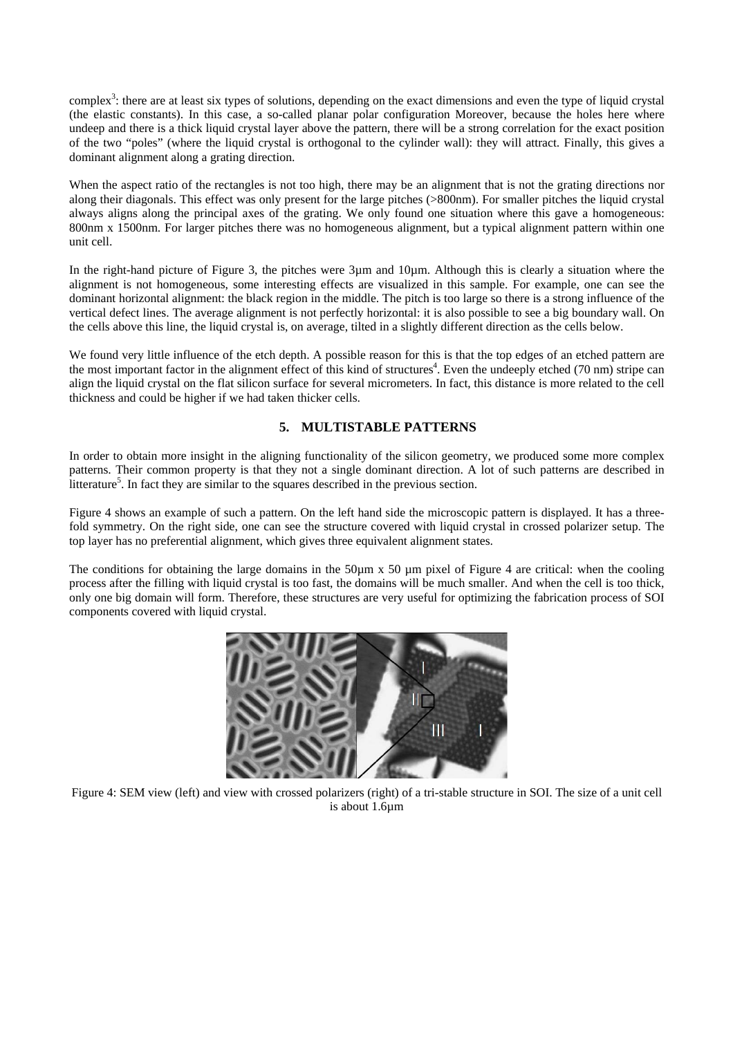complex<sup>3</sup>[:](#page-7-2) there are at least six types of solutions, depending on the exact dimensions and even the type of liquid crystal (the elastic constants). In this case, a so-called planar polar configuration Moreover, because the holes here where undeep and there is a thick liquid crystal layer above the pattern, there will be a strong correlation for the exact position of the two "poles" (where the liquid crystal is orthogonal to the cylinder wall): they will attract. Finally, this gives a dominant alignment along a grating direction.

When the aspect ratio of the rectangles is not too high, there may be an alignment that is not the grating directions nor along their diagonals. This effect was only present for the large pitches (>800nm). For smaller pitches the liquid crystal always aligns along the principal axes of the grating. We only found one situation where this gave a homogeneous: 800nm x 1500nm. For larger pitches there was no homogeneous alignment, but a typical alignment pattern within one unit cell.

In the right-hand picture of [Figure 3,](#page-4-0) the pitches were 3µm and 10µm. Although this is clearly a situation where the alignment is not homogeneous, some interesting effects are visualized in this sample. For example, one can see the dominant horizontal alignment: the black region in the middle. The pitch is too large so there is a strong influence of the vertical defect lines. The average alignment is not perfectly horizontal: it is also possible to see a big boundary wall. On the cells above this line, the liquid crystal is, on average, tilted in a slightly different direction as the cells below.

We found very little influence of the etch depth. A possible reason for this is that the top edges of an etched pattern are the most important factor in the alignment effect of this kind of structures<sup>4</sup>[.](#page-7-3) Even the undeeply etched (70 nm) stripe can align the liquid crystal on the flat silicon surface for several micrometers. In fact, this distance is more related to the cell thickness and could be higher if we had taken thicker cells.

## **5. MULTISTABLE PATTERNS**

In order to obtain more insight in the aligning functionality of the silicon geometry, we produced some more complex patterns. Their common property is that they not a single dominant direction. A lot of such patterns are described in litterature<sup>5</sup>. In fact they are similar to the squares described in the previous section.

[Figure 4](#page-6-0) shows an example of such a pattern. On the left hand side the microscopic pattern is displayed. It has a threefold symmetry. On the right side, one can see the structure covered with liquid crystal in crossed polarizer setup. The top layer has no preferential alignment, which gives three equivalent alignment states.

The conditions for obtaining the large domains in the 50 $\mu$ m x 50  $\mu$ m pixel of [Figure 4](#page-6-0) are critical: when the cooling process after the filling with liquid crystal is too fast, the domains will be much smaller. And when the cell is too thick, only one big domain will form. Therefore, these structures are very useful for optimizing the fabrication process of SOI components covered with liquid crystal.

<span id="page-6-0"></span>

Figure 4: SEM view (left) and view with crossed polarizers (right) of a tri-stable structure in SOI. The size of a unit cell is about 1.6µm